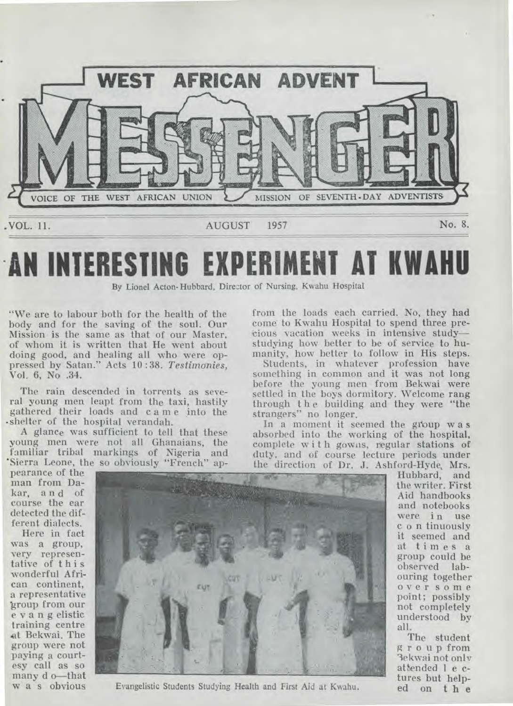

# **AN INTERESTING EXPERIMENT AT KWAHU**

By Lionel Acton-Hubbard, Director of Nursing, Kwahu Hospital

"We are to labour both for the health of the body and for the saving of the soul. Our Mission is the same as that of our Master, of whom it is written that He went about doing good, and healing all who were oppressed by Satan." Acts 10 : 38. *Testimonies,*  Vol. 6, No .34.

The rain descended in torrents as several young men leapt from the taxi, hastily gathered their loads and came Into the - shelter of the hospital verandah.

A glance was sufficient to tell that these young men were not all Ghanaians, the familiar tribal markings of Nigeria and 'Sierra Leone, the so obviously "French" apfrom the loads each carried. No, they had come to Kwahu Hospital to spend three pret ious vacation weeks in intensive study studying how better to be of service to **humanity,** how better to follow in His steps.

Students, in whatever profession have something in common and it was not long before the young men from Bekwai were settled in the boys dormitory. Welcome rang through t h e building and they were "the strangers" no longer.

In a moment it seemed the gi'oup w a s absorbed into the working of the hospital, complete with gowns, regular stations of duty, and of course lecture periods **under**  the direction of Dr. J. Ashford-Hyde, Mrs.

pearance of the man from Dakar, and of course the ear detected the different dialects.

Here in fact was a group, very representative of this wonderful African continent, a representative 'group from our e v a n g elistic training centre at Bekwai. The group were not paying a courtesy call as so many d o—that w a s obvious



Evangelistic Students Studying Health and First Aid at Kwahu.

Hubbard, and the writer. First Aid handbooks and notebooks were in use c o n tinuously it seemed and at times a group could be observed labouring together over some point; possibly not completely understood by all.

The student group from 3e kwai not only attended 1 e ctures but helped **on t h e**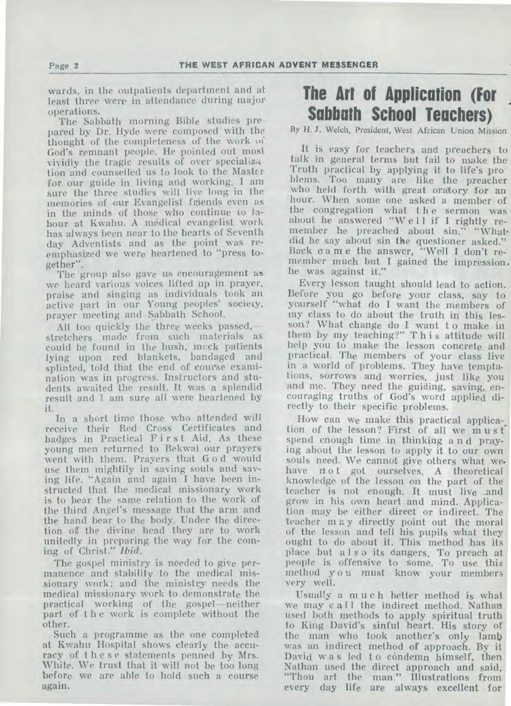wards, in the outpatients department and at least three were in attendance during major operations.

The Sabbath morning Bible studies pre pared by Dr. Hyde were composed with the thought of the completeness of the work of God's remnant people. He pointed out most vividly the tragic results of over specialize tion and counselled us to look to the Master for our guide in living and working. I am sure the three studies will live long in the memories of our Evangelist friends even as in the minds of those who continue **to** labour at Kwahu. A medical evangelist work has always been near to the hearts of Seventh day Adventists and as the point was reemphasized we were heartened to "press together".

The group also gave us encouragement as we heard various voices lifted up in prayer, praise and singing as individuals took an active part in our Young peoples' society, prayer meeting and Sabbath School.

All too quickly the three weeks passed,- stretchers made from such materials as could be found in the bush, mock patients lying upon red blankets, bandaged and splinted, told that the end of course examination was in progress. Instructors and students awaited the result. It was a splendid result and I. am sure all were heartened by it.

In a short time those who attended will receive their Red Cross Certificates and badges in Practical First Aid. As these young men returned to Bekwai our prayers went with them. Prayers that G o d would use them mightily in saving souls and saving life. "Again and again I have been instructed that the medical missionary work is to bear the same relation to the work of the third Angel's message that the arm and the hand bear to the body. Under the direction of the divine head they are to work unitedly in preparing the way for the coming of Christ." *Ibid.* 

The gospel ministry is needed to give permanence and stability to the medical missionary work; and the ministry needs the medical missionary work to demonstrate the practical working of the gospel—neither part of t h e work is complete without the other.

Such a programme as the one completed at Kwahu Hospital shows clearly the accuracy of these statements penned by Mrs. White. We trust that it will not be too long before we are able to hold such a course again.

## **The Art of Application (For Sabbath School Teachers)**

By H. J. Welch, President, West African Union Mission

It is easy for teachers and preachers to talk in general terms but fail to make the Truth practical by applying it to life's problems. Too many are like the preacher who held forth with great oratory for an hour. When some one asked a member of the congregation what the sermon was about he answered "Well if I rightly remember he preached about sin." "Whatdid he say about sin the questioner asked." Back d a m e the answer, "Well I don't remember much but I gained the impression. he was against it."

Every lesson taught should lead to action. Before you go before your class, say to yourself "what do I want the members of my class to do about the truth in this lesson? What change do I want to make in them by my teaching?" This attitude will help you to make the lesson concrete and practical. The members of your class live in a world of problems. They have temptations, sorrows and worries, just like you and me. They need the guiding, saving, encouraging truths of God's word applied directly to their specific problems.

How can we make this practical applica-\_ tion of the lesson? First of all we must spend enough time in thinking a n d praying about the lesson to apply it to our own souls need. We cannot give others what we. have not got ourselves. A theoretical knowledge of the lesson on the part of the teacher is not enough. It must live .and grow in his own heart and mind. Application may be either direct or indirect. The teacher m a y directly point out the moral of the lesson and tell his pupils what they ought to do about it. This method has its place but also its dangers. To preach at people is offensive to some. To use this method you must know your members very well.

Usually a much better method is what we may call the indirect method. Nathan used both methods to apply spiritual truth to King David's sinful heart. His story of the man who took another's only lamb was an indirect method of approach. By it David w a s led t o condemn himself, then Nathan used the direct approach and said, "Thou art the man." Illustrations from every day life are always excellent for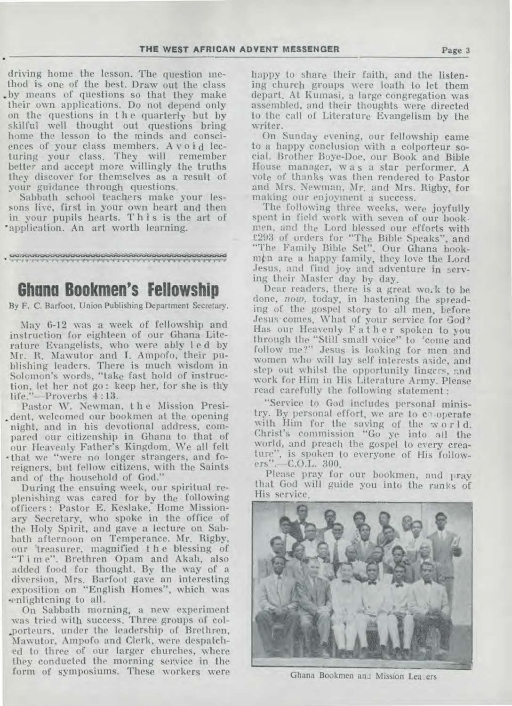driving home the lesson. The question method is one of the best. Draw out the class .by means of questions so that they make their own applications. Do not depend only on the questions in t h e quarterly but by skilful well thought out questions bring home the lesson to the minds and consciences of your class members. Avoid lecturing your class. They will remember better and accept more willingly the truths they discover for themselves as a result of your guidance through questions.

Sabbath school teachers make your lessons live, first in your own heart and then in your pupils hearts. This is the art of 'application. An art worth learning.

**• N1.11.4.1...a.4...er^rwwwww.u...i...sr9mervi.r.r.i.u... .11".11"1".11.1'"ir. .11•1.11.11.** 

### **Ghana Bookmen's Fellowship**

By F. C. Barfoot, Union Publishing Department Secretary.

May 6-12 was a week of fellowship and instruction for eighteen of our Ghana Literature Evangelists, who were ably I e d by Mr. R. Mawutor and I. Ampofo, their publishing leaders. There is much wisdom in Solomon's words, "take fast hold of instruction, let her not go: keep her, for she is thy life."—Proverbs 4 :13.

Pastor W. Newman, t h e Mission Presi dent, welcomed our bookmen at the opening night, and in his devotional address, compared our citizenship in Ghana to that of our Heavenly Father's Kingdom. We all felt • that we "were no longer strangers, and foreigners, but fellow citizens, with the Saints and of the household of God."

During the ensuing week, our spiritual replenishing was cared for by the following officers : Pastor E. Keslake, Home Missionary Secretary, who spoke in the office of the Holy Spirit, and gave a lecture on Sabbath afternoon on Temperance. Mr. Rigby, our 'treasurer, magnified t h e blessing of "Time". Brethren Opam and Akah, also added food for thought. By the way of a diversion, Mrs. Barfoot gave an interesting exposition on "English Homes", which was 'enlightening to all.

On Sabbath morning, a new experiment was tried with success. Three groups of col- .porteurs, under the leadership of Brethren, Mawutor, Ampofo and Clerk, were despatched to three of our larger churches, where they conducted the morning service in the form of symposiums. These workers were

happy to share their faith, and the listening church groups were loath to let them depart. At Kumasi, a large congregation was assembled, and their thoughts were directed to the call of Literature Evangelism by the writer.

On Sunday evening, our fellowship came to a happy conclusion with a colporteur social. Brother Boye-Doe, our Book and Bible House manager, was a star performer. A vote of thanks was then rendered to Pastor and Mrs. Newman, Mr. and Mrs. Rigby, for making our enjoyment a success.

The following three weeks, were joyfully spent in field work with seven of our book• men, and the Lord blessed our efforts with £293 of orders for "The Bible Speaks", and "The Family Bible Set". Our Ghana bookmim are a happy family, they love the Lord Jesus, and find joy and adventure in serving their Master day by day.

Dear readers, there is a great wo..k to he done, *now,* today, in hastening the spreading of the gospel story to all men, before Jesus comes. What of your service for God? Has our Heavenly Father spoken to you through the "Still small voice" to 'come and follow me?" Jesus is looking for men and women who will lay self interests aside, and step out whilst the opportunity lingers, and work for Him in His Literature Army. Please read carefully the following statement :

"Service to God includes personal ministry. By personal effort, we are to cooperate with Him for the saving of the worl d. Christ's commission "Go ye into all the world, and preach the gospel to every creature", is spoken to everyone of His followers".—C.O.L. 300.

Please pray for our bookmen, and pray that God will guide you into the ranks of His service,



Ghana Bookmen ant Mission Lea ers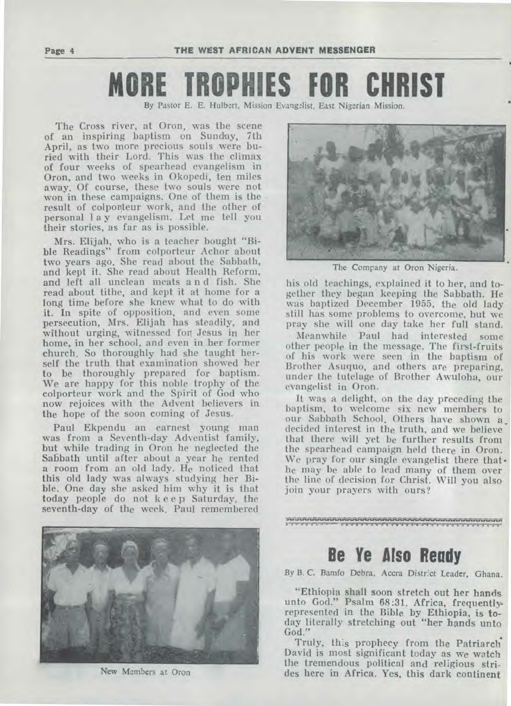**Page 4 THE WEST AFRICAN ADVENT MESSENGER** 

# **MORE TROPHIES FOR CHRIST**

By Pastor E. E. Hulbert, Mission Evangelist, East Nigerian Mission.

The Cross river, at Oron, was the scene of an inspiring baptism on Sunday, 7th April, as two more precious souls were buried with their Lord. This was the climax of four weeks of spearhead evangelism in Oron, and two weeks in Okopedi, ten miles away. Of course, these two souls were not won in these campaigns. One of them is the result of colporteur work, and the other of personal 1 a y evangelism. Let me tell you their stories, as far as is possible.

Mrs. Elijah, who is a teacher bought "Bible Readings" from colporteur Achor about two years ago. She read about the Sabbath, and kept it. She read about Health Reform, and left all unclean meats a n d fish. She read about tithe, and kept it at home for a long time before she knew what to do with it. In spite of opposition, and even some persecution, Mrs. Elijah has steadily, and without urging, witnessed fog Jesus in her home, in her school, and even in her former church. So thoroughly had she taught herself the truth that examination showed her to be thoroughly prepared for baptism. We are happy for this noble trophy of the colporteur work and the Spirit of God who now rejoices with the Advent believers in the hope of the soon coming of Jesus.

Paul Ekpendu an earnest young man was from a Seventh-day Adventist family, but while trading in Oron he neglected the Sabbath until after about a year he rented a room from an old lady. He noticed that this old lady was always studying her Bible. One day she asked him why it is that today people do not keep Saturday, the seventh-day of the week. Paul remembered



New Members at Oron



The Company at Oron Nigeria.

his old teachings, explained it to her, and together they began keeping the Sabbath. He was baptized December 1955, the old lady still has some problems to overcome, but we pray she will one day take her full stand.

Meanwhile Paul had interested some other people in the message. The first-fruits of his work were seen in the baptism of Brother Asuquo, and others are preparing, under the tutelage of Brother Awuloha, our evangelist in Oron.

It was a delight, on the day preceding the baptism, to welcome six new members to our Sabbath School. Others have shown a decided interest in the truth, and we believe that there will yet be further results from the spearhead campaign held there in Oron. We pray for our single evangelist there that• he may be able to lead many of them over the line of decision for Christ. Will you also join your prayers with ours?

**6 'I** 61611.169.

## **Be Ye Also Ready**

By B. C. Bamfo Debra, Accra District Leader, Ghana.

"Ethiopia shall soon stretch out her hands unto God." Psalm 68:31. Africa, frequentlyrepresented in the Bible by Ethiopia, is today literally stretching out "her hands unto God."

Truly, this prophecy from the Patriarch'. David is most significant today as we watch the tremendous political and religious strides here in Africa. Yes, this dark continent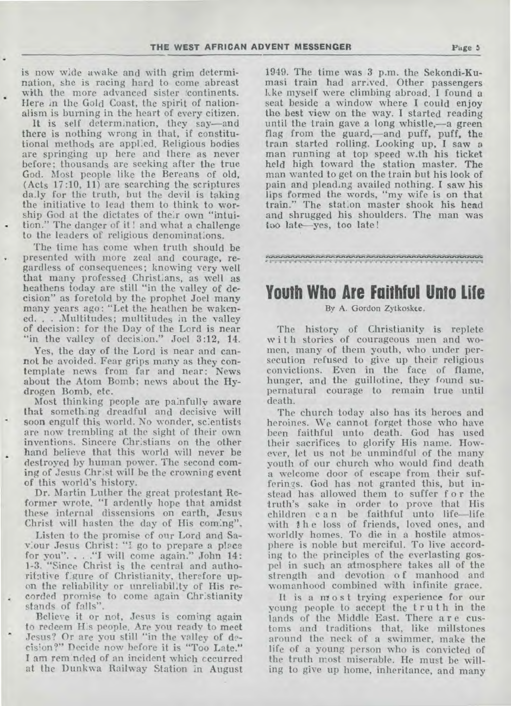**is** now wide awake and with grim determination, she is racing hard to come abreast with the more advanced sister *continents*. Here in the Gold Coast, the spirit of nationalism is burning in the heart of every citizen.

It is self determination, they say—and there is nothing wrong in that, if constitutional methods are applied. Religious bodies are springing up here and there as never before; thousands are seeking after the true God. Most people like the Bereans of old, (Acts 17:10, 11) are searching the scriptures daly for the truth, but the devil is taking the initiative to lead them to think to worship God at the dictates of their own "intuition." The danger of it ! and what a challenge to the leaders of religious denominations.

The time has come when truth should be presented with more zeal and courage, regardless of consequences; knowing very well that many professed Christians, as well as heathens today are still "in the valley of decision" as foretold by the prophet Joel many many years ago: "Let **the** heathen be wakened. . . .Multitudes; multitudes in the valley of decision: for the Day of the Lord is near "in the valley of decision." Joel 3:12, 14.

Yes, the day of the Lord is near and cannot be avoided. Fear grips many as they contemplate news from far and near: News about the Atom Bomb; news about the Hydrogen Bomb, etc.

Most thinking people are painfully aware that something dreadful and decisive will soon engulf this world. No wonder, scientists are now trembling at the sight of their own inventions. Sincere Christians on the other hand believe that this world will never be destroyed by human power. The second coming of Jesus Christ will be the crowning event of this world's history.

Dr. Martin Luther the great protestant Reformer wrote, "I ardently hope that amidst these internal dissensions on earth, Jesus Christ will hasten the day of His coming".

Listen to the promise of our Lord and Saviour Jesus Christ: "I go to prepare a place for you". . . ."I will come again." John 14: 1-3. "Since Christ is the central and authoritative f:gure of Christianity, therefore upon the reliability or unreliability of His recorded promise to come again Christianity stands of falls".

Believe it or not, Jesus is coming again to redeem H:s people. **Are** you ready to meet Jesus? Or are you still "in the valley of decision?" Decide now before it is "Too Late." I am reminded of an incident which cccurred at the Dunkwa Railway Station in August

1949. The time was 3 p.m. the Sekondi-Kumasi train had arrived. Other passengers Ike myself were climbing abroad. **I** found a seat beside a window where I could enjoy the best view on the way. I started reading until the train gave a long whistle,—a green flag from the guard,—and puff, puff, the train started rolling. Looking up, I saw a man running at top speed with his ticket held high toward the station master. The man wanted to get on the train but his look of pain and pleading availed nothing. I saw his lips formed the words, "my wife is on that train." The station master shook his head and shrugged his shoulders. The man was too late—yes, too late !

#### <sup>J</sup> ."11."11.4

## **Youth Who Are Faithful Unto Life**

#### By A. Gordon Zytkoskee.

The history of Christianity **is** replete with stories of courageous men and women, many of them youth, who under persecution refused to give up their religious convictions. Even in the face of flame, hunger, and the guillotine, they found supernatural courage to remain true until death.

The church today also has its heroes and heroines. We cannot forget those who have been faithful unto death. God has used their sacrifices to glorify His name. However, let us not be unmindful of the many youth of our church who would find death a welcome door of escape from their sufferings. God has not granted this, but instead has allowed them to suffer for the truth's sake in order to prove that His children c a n be faithful unto life—life with the loss of friends, loved ones, and worldly homes. To die in a hostile atmosphere is noble but merciful. To live according to the principles of the everlasting gospel in such an atmosphere takes all of the strength and devotion of manhood and womanhood combined with infinite grace.

It is a most trying experience for our young people to accept the truth in the lands of the Middle East. There a r e customs and traditions that, like millstones around the neck of a swimmer, make the life of a young person who is convicted of the truth most miserable. He must be willing to give up home, inheritance, and many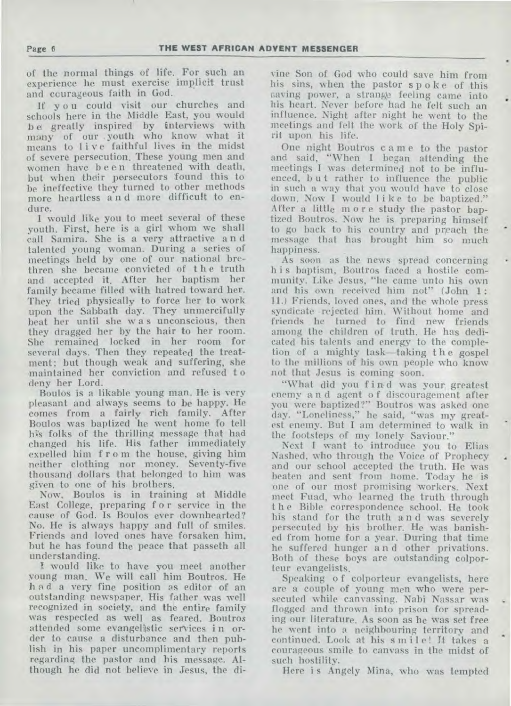of the normal things of life. For such an experience he must exercise implicit trust and courageous faith in God.

If you could visit our churches and schools here in the Middle East, you would b e greatly inspired by interviews with many of our . youth who know what it means to live faithful lives in the midst of severe persecution. These young men and women have been threatened with death, but when their persecutors found this to be ineffective they turned to other methods more heartless a n d more difficult to endure.

I would like you to meet several of these youth. First, here is a girl whom we shall call Samira. She is a very attractive a n d talented young woman. During a series of meetings held by one of our national brethren she became convicted of the truth and accepted it. After her baptism her family became filled with hatred toward her. They tried physically to force her to work upon the Sabbath day. They unmercifully beat her until she w a s unconscious, then they dragged her by the hair to her room. She remained locked in her room for several days. Then they repeated the treatment; but though weak and suffering, she maintained her conviction and refused t o deny her Lord.

Boulos is a likable young man. He is very pleasant and always seems to be happy. He comes from a fairly rich family. After Boulos was baptized he went home fo tell his folks of the thrilling message that had changed his life. His father immediately expelled him f r o m the house, giving him neither clothing nor money. Seventy-five thousand dollars that belonged to him was given to one of his brothers.

Now, Boulos is in training at Middle East College, preparing f o r service in the cause of God. Is Boulos ever downhearted? No. He is always happy and full of smiles. Friends and loved ones have forsaken him, but he has found the peace that passeth all understanding.

I would like to have you meet another young man. We will call him Boutros. He had a very fine position as editor of an outstanding newspaper. His father was well recognized in society, and the entire family was respected as well as feared. Boutros attended some evangelistic services i n order to cause a disturbance and then publish in his paper uncomplimentary reports regarding the pastor and his message. Although he did not believe in Jesus, the di-

vine Son of God who could save him from his sins, when the pastor s p o k e of this saving power, a strange feeling came into his heart. Never before had he felt such an influence. Night after night he went to the meetings and felt the work of the Holy Spirit upon his life.

One night Boutros came to the pastor and said, "When I began attending the meetings I was determined not to be influenced, but rather to influence the public in such a way that you would have to close down. Now I would like to be baptized." After a little more study the pastor baptized Boutros. Now he is preparing himself to go back to his country and preach the message that has brought him so much happiness.

As soon as the news spread concerning h i s baptism, Boutros faced a hostile community. Like Jesus, "he came unto his own and his own received him not" (John 1: 11.) Friends, loved ones, and the whole press syndicate •rejected him. Without home and friends he turned to find new friends among the children of truth. He has dedicated his talents and energy to the completion of a mighty task—taking t h e gospel to the millions of his own people who know not that Jesus is coming soon.

"What did you find was your, greatest enemy a n d agent o f discouragement after you were baptized?" Boutros was asked one day. "Loneliness," he said, "was my greatest enemy. But I am determined to walk in the footsteps of my lonely Saviour."

Next I want to introduce you to Elias Nashed, who through the Voice of Prophecy and our school accepted the truth. He was beaten and sent from home. Today he is one of our most promising workers. Next meet Fuad, who learned the truth through t h e Bible correspondence school. He took his stand for the truth a n d was severely persecuted by his brother. He was banished from home for a year. During that time he suffered hunger a n d other privations. Both of these boys are outstanding colporteur evangelists.

Speaking o f colporteur evangelists, here are a couple of young men who were persecuted while canvassing. Nabi Nassar was flogged and thrown into prison for spreading our literature. As soon as he was set free he went into a neighbouring territory and continued. Look at his smile! It takes a courageous smile to canvass in the midst of such hostility.

Here is Angely Mina, who was tempted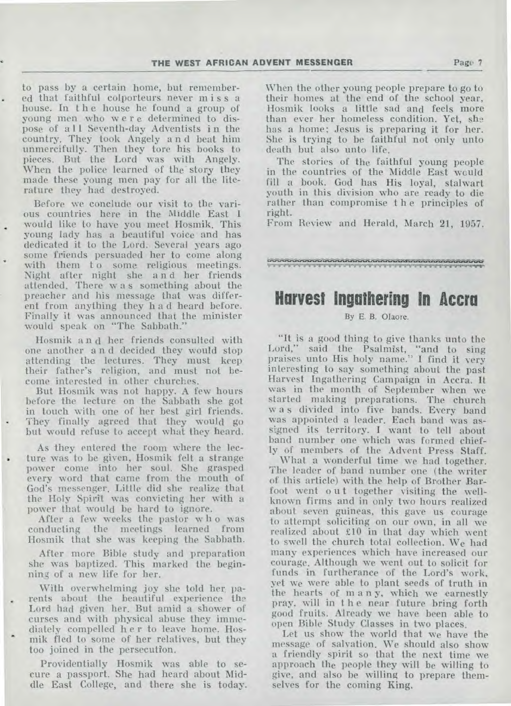to pass by a certain home, but remember ed that faithful colporteurs never miss a house. In the house he found a group of young men who were determined to dispose of all Seventh-day Adventists in the country. They took Angely a n d beat him unmercifully. Then they tore his books to pieces. But the Lord was with Angely. When the police learned of the' story they made these young men pay for all the literature they had destroyed.

Before we conclude our visit to the various countries here in **the** Middle East 1 would like to have you meet Hosmik. This young lady has a beautiful voice and has dedicated it to the Lord. Several years ago some friends persuaded her to come along with them to some religious meetings. Night after night she a n d her friends attended. There w a s something about the preacher and his message that was different from anything they h a d heard before. Finally it was announced that the minister would speak on "The Sabbath."

Hosmik a n d her, friends consulted with one another a n d decided they would stop attending the lectures. They must keep their father's religion, and must not become interested in other churches.

But Hosmik was not happy. A few hours before the lecture on the Sabbath she got in touch with one of her best girl friends. They finally agreed that they would go but would refuse to accept what they heard.

As they entered the room where the lec ture was to be given, Hosmik felt a strange power come into her soul. She grasped every word that came from the mouth of God's messenger. Little did she realize that the Holy Spirit was convicting her with a power that would be hard to ignore.

After a few weeks the pastor who was conducting the meetings learned from Hosmik that she was keeping the Sabbath.

After more Bible study and preparation she was baptized. This marked the beginning of a new life for her.

With overwhelming joy she told her, parents about the beautiful experience the Lord had given her. But amid a shower of curses and with physical abuse they immediately compelled **h** e r to leave home. Hosmik fled to some of her relatives, but they too joined in the persecution.

Providentially Hosmik was able to secure a passport. She had heard about Middle East College, and there she is today. When the other young people prepare to go to their homes at the end of the school year, Hosmik looks a little sad and feels more than ever her homeless condition. Yet, she has a home; Jesus is preparing it for her. She is trying to be faithful not only unto death but also unto life.

The stories of the faithful young people in the countries of the Middle East would fill a book. God has His loyal, stalwart youth in this division who are ready to die rather than compromise t h e principles of right.

From Review and Herald, March 21, 1957.

## **Harvest Ingathering In Accra**

#### By E. B. Olaore.

"It is a good thing to give thanks unto the Lord," said the Psalmist, "and to sing praises unto His holy name." I find it very interesting to say something about the past Harvest Ingathering Campaign in Accra. It was in the month of September when we started making preparations. The church w a s divided into five bands. Every band was appointed a leader. Each band was assigned its territory. I want to tell about band number one which was formed chiefly of members of the Advent Press Staff.

What a wonderful time we had together. The leader of band number one (the writer of this article) with the help of Brother Barfoot went out together visiting the wellknown firms and in only two hours realized about seven guineas, this gave us courage to attempt soliciting on our own, in all we realized about £10 in that day which went to swell the church total collection. We had many experiences which have increased our courage. Although we went out to solicit for funds in furtherance of the Lord's work, yet we were able to plant seeds of truth in the hearts of m a n y, which we earnestly pray, will in t h e near future bring forth good fruits. Already we have been able to open Bible Study Classes in two places.

Let us show the world that we have the message of salvation. We should also show a friendly spirit so that the next time we approach the people they will be willing to give, and also be willing to prepare themselves for the coming King.